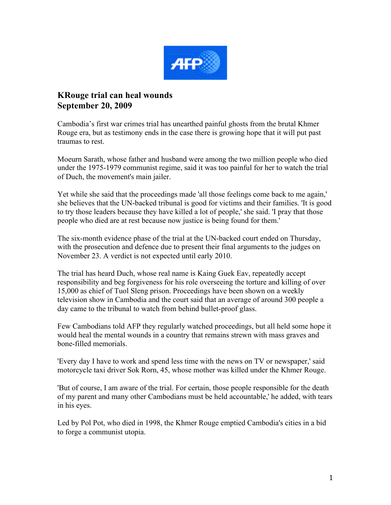

## **KRouge trial can heal wounds September 20, 2009**

Cambodia's first war crimes trial has unearthed painful ghosts from the brutal Khmer Rouge era, but as testimony ends in the case there is growing hope that it will put past traumas to rest.

Moeurn Sarath, whose father and husband were among the two million people who died under the 1975-1979 communist regime, said it was too painful for her to watch the trial of Duch, the movement's main jailer.

Yet while she said that the proceedings made 'all those feelings come back to me again,' she believes that the UN-backed tribunal is good for victims and their families. 'It is good to try those leaders because they have killed a lot of people,' she said. 'I pray that those people who died are at rest because now justice is being found for them.'

The six-month evidence phase of the trial at the UN-backed court ended on Thursday, with the prosecution and defence due to present their final arguments to the judges on November 23. A verdict is not expected until early 2010.

The trial has heard Duch, whose real name is Kaing Guek Eav, repeatedly accept responsibility and beg forgiveness for his role overseeing the torture and killing of over 15,000 as chief of Tuol Sleng prison. Proceedings have been shown on a weekly television show in Cambodia and the court said that an average of around 300 people a day came to the tribunal to watch from behind bullet-proof glass.

Few Cambodians told AFP they regularly watched proceedings, but all held some hope it would heal the mental wounds in a country that remains strewn with mass graves and bone-filled memorials.

'Every day I have to work and spend less time with the news on TV or newspaper,' said motorcycle taxi driver Sok Rorn, 45, whose mother was killed under the Khmer Rouge.

'But of course, I am aware of the trial. For certain, those people responsible for the death of my parent and many other Cambodians must be held accountable,' he added, with tears in his eyes.

Led by Pol Pot, who died in 1998, the Khmer Rouge emptied Cambodia's cities in a bid to forge a communist utopia.